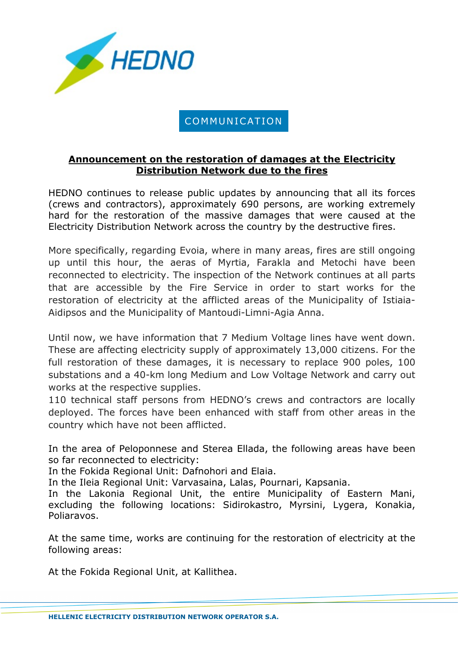

## COMMUNICATION

## **Announcement on the restoration of damages at the Electricity Distribution Network due to the fires**

HEDNO continues to release public updates by announcing that all its forces (crews and contractors), approximately 690 persons, are working extremely hard for the restoration of the massive damages that were caused at the Electricity Distribution Network across the country by the destructive fires.

More specifically, regarding Evoia, where in many areas, fires are still ongoing up until this hour, the aeras of Myrtia, Farakla and Metochi have been reconnected to electricity. The inspection of the Network continues at all parts that are accessible by the Fire Service in order to start works for the restoration of electricity at the afflicted areas of the Municipality of Istiaia-Aidipsos and the Municipality of Mantoudi-Limni-Agia Anna.

Until now, we have information that 7 Medium Voltage lines have went down. These are affecting electricity supply of approximately 13,000 citizens. For the full restoration of these damages, it is necessary to replace 900 poles, 100 substations and a 40-km long Medium and Low Voltage Network and carry out works at the respective supplies.

110 technical staff persons from HEDNO's crews and contractors are locally deployed. The forces have been enhanced with staff from other areas in the country which have not been afflicted.

In the area of Peloponnese and Sterea Ellada, the following areas have been so far reconnected to electricity:

In the Fokida Regional Unit: Dafnohori and Elaia.

In the Ileia Regional Unit: Varvasaina, Lalas, Pournari, Kapsania.

In the Lakonia Regional Unit, the entire Municipality of Eastern Mani, excluding the following locations: Sidirokastro, Myrsini, Lygera, Konakia, Poliaravos.

At the same time, works are continuing for the restoration of electricity at the following areas:

At the Fokida Regional Unit, at Kallithea.